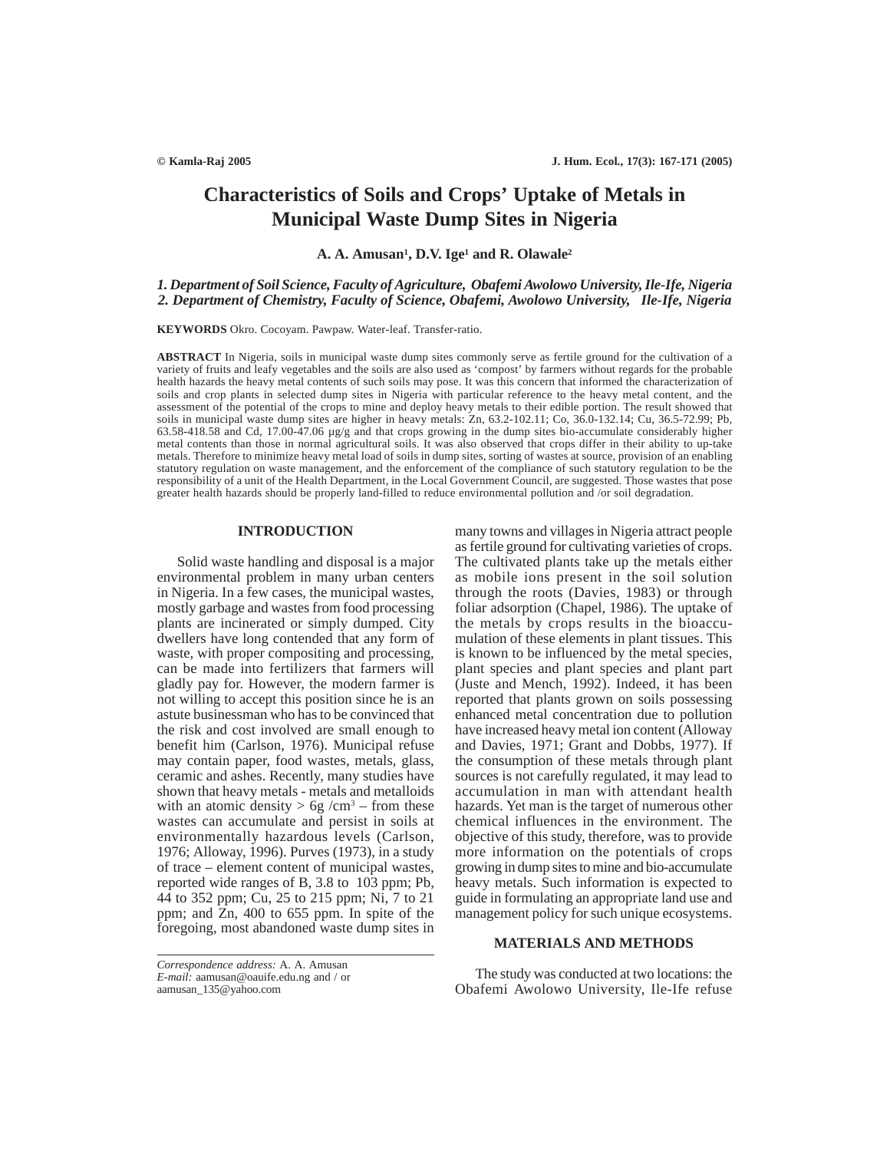# **Characteristics of Soils and Crops' Uptake of Metals in Municipal Waste Dump Sites in Nigeria**

A. A. Amusan<sup>1</sup>, D.V. Ige<sup>1</sup> and R. Olawale<sup>2</sup>

*1. Department of Soil Science, Faculty of Agriculture, Obafemi Awolowo University, Ile-Ife, Nigeria 2. Department of Chemistry, Faculty of Science, Obafemi, Awolowo University, Ile-Ife, Nigeria*

**KEYWORDS** Okro. Cocoyam. Pawpaw. Water-leaf. Transfer-ratio.

**ABSTRACT** In Nigeria, soils in municipal waste dump sites commonly serve as fertile ground for the cultivation of a variety of fruits and leafy vegetables and the soils are also used as 'compost' by farmers without regards for the probable health hazards the heavy metal contents of such soils may pose. It was this concern that informed the characterization of soils and crop plants in selected dump sites in Nigeria with particular reference to the heavy metal content, and the assessment of the potential of the crops to mine and deploy heavy metals to their edible portion. The result showed that soils in municipal waste dump sites are higher in heavy metals: Zn, 63.2-102.11; Co, 36.0-132.14; Cu, 36.5-72.99; Pb, 63.58-418.58 and Cd, 17.00-47.06 µg/g and that crops growing in the dump sites bio-accumulate considerably higher metal contents than those in normal agricultural soils. It was also observed that crops differ in their ability to up-take metals. Therefore to minimize heavy metal load of soils in dump sites, sorting of wastes at source, provision of an enabling statutory regulation on waste management, and the enforcement of the compliance of such statutory regulation to be the responsibility of a unit of the Health Department, in the Local Government Council, are suggested. Those wastes that pose greater health hazards should be properly land-filled to reduce environmental pollution and /or soil degradation.

#### **INTRODUCTION**

Solid waste handling and disposal is a major environmental problem in many urban centers in Nigeria. In a few cases, the municipal wastes, mostly garbage and wastes from food processing plants are incinerated or simply dumped. City dwellers have long contended that any form of waste, with proper compositing and processing, can be made into fertilizers that farmers will gladly pay for. However, the modern farmer is not willing to accept this position since he is an astute businessman who has to be convinced that the risk and cost involved are small enough to benefit him (Carlson, 1976). Municipal refuse may contain paper, food wastes, metals, glass, ceramic and ashes. Recently, many studies have shown that heavy metals - metals and metalloids with an atomic density  $> 6g/cm^3$  – from these wastes can accumulate and persist in soils at environmentally hazardous levels (Carlson, 1976; Alloway, 1996). Purves (1973), in a study of trace – element content of municipal wastes, reported wide ranges of B, 3.8 to 103 ppm; Pb, 44 to 352 ppm; Cu, 25 to 215 ppm; Ni, 7 to 21 ppm; and Zn, 400 to 655 ppm. In spite of the foregoing, most abandoned waste dump sites in many towns and villages in Nigeria attract people as fertile ground for cultivating varieties of crops. The cultivated plants take up the metals either as mobile ions present in the soil solution through the roots (Davies, 1983) or through foliar adsorption (Chapel, 1986). The uptake of the metals by crops results in the bioaccumulation of these elements in plant tissues. This is known to be influenced by the metal species, plant species and plant species and plant part (Juste and Mench, 1992). Indeed, it has been reported that plants grown on soils possessing enhanced metal concentration due to pollution have increased heavy metal ion content (Alloway and Davies, 1971; Grant and Dobbs, 1977). If the consumption of these metals through plant sources is not carefully regulated, it may lead to accumulation in man with attendant health hazards. Yet man is the target of numerous other chemical influences in the environment. The objective of this study, therefore, was to provide more information on the potentials of crops growing in dump sites to mine and bio-accumulate heavy metals. Such information is expected to guide in formulating an appropriate land use and management policy for such unique ecosystems.

## **MATERIALS AND METHODS**

The study was conducted at two locations: the Obafemi Awolowo University, Ile-Ife refuse

*Correspondence address:* A. A. Amusan *E-mail:* aamusan@oauife.edu.ng and / or aamusan\_135@yahoo.com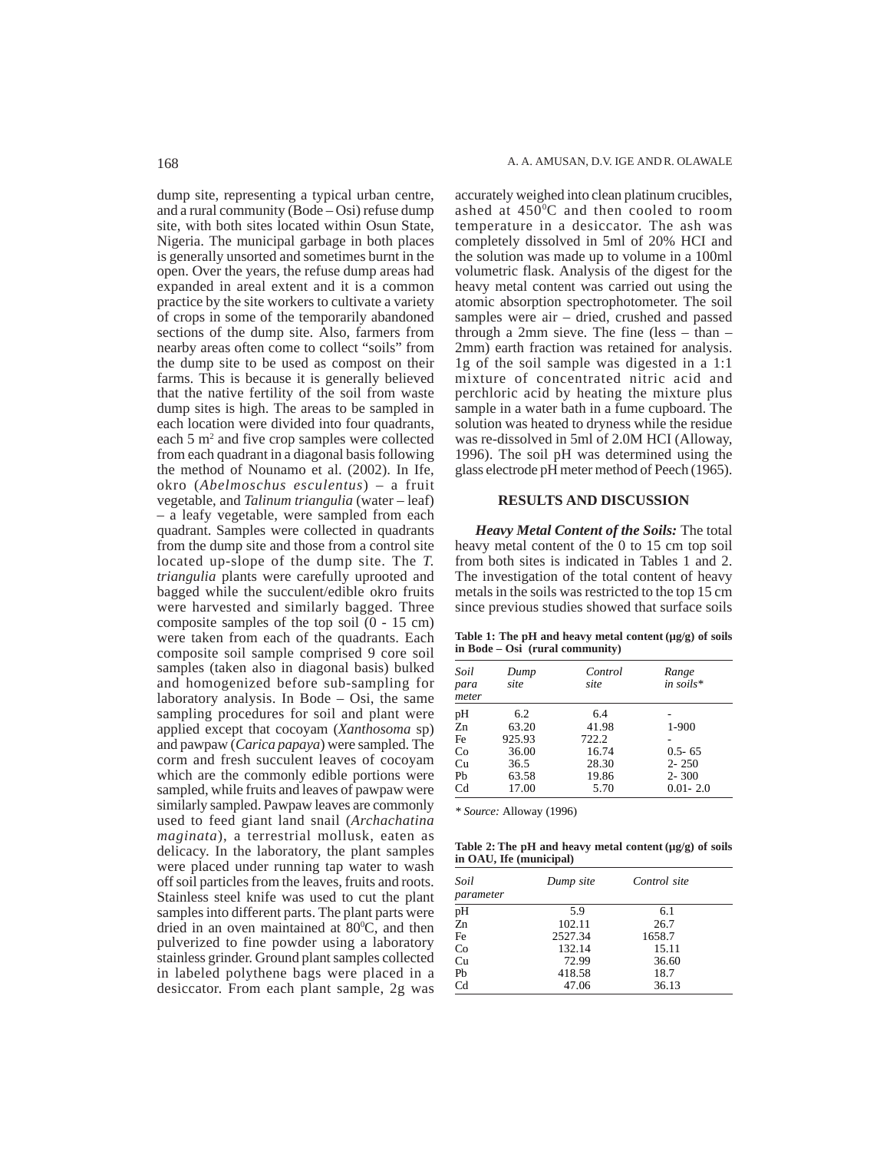dump site, representing a typical urban centre, and a rural community (Bode – Osi) refuse dump site, with both sites located within Osun State, Nigeria. The municipal garbage in both places is generally unsorted and sometimes burnt in the open. Over the years, the refuse dump areas had expanded in areal extent and it is a common practice by the site workers to cultivate a variety of crops in some of the temporarily abandoned sections of the dump site. Also, farmers from nearby areas often come to collect "soils" from the dump site to be used as compost on their farms. This is because it is generally believed that the native fertility of the soil from waste dump sites is high. The areas to be sampled in each location were divided into four quadrants, each 5 m<sup>2</sup> and five crop samples were collected from each quadrant in a diagonal basis following the method of Nounamo et al. (2002). In Ife, okro (*Abelmoschus esculentus*) – a fruit vegetable, and *Talinum triangulia* (water – leaf) – a leafy vegetable, were sampled from each quadrant. Samples were collected in quadrants from the dump site and those from a control site located up-slope of the dump site. The *T. triangulia* plants were carefully uprooted and bagged while the succulent/edible okro fruits were harvested and similarly bagged. Three composite samples of the top soil  $(0 - 15$  cm) were taken from each of the quadrants. Each composite soil sample comprised 9 core soil samples (taken also in diagonal basis) bulked and homogenized before sub-sampling for laboratory analysis. In Bode – Osi, the same sampling procedures for soil and plant were applied except that cocoyam (*Xanthosoma* sp) and pawpaw (*Carica papaya*) were sampled. The corm and fresh succulent leaves of cocoyam which are the commonly edible portions were sampled, while fruits and leaves of pawpaw were similarly sampled. Pawpaw leaves are commonly used to feed giant land snail (*Archachatina maginata*), a terrestrial mollusk, eaten as delicacy. In the laboratory, the plant samples were placed under running tap water to wash off soil particles from the leaves, fruits and roots. Stainless steel knife was used to cut the plant samples into different parts. The plant parts were dried in an oven maintained at 80°C, and then pulverized to fine powder using a laboratory stainless grinder. Ground plant samples collected in labeled polythene bags were placed in a desiccator. From each plant sample, 2g was accurately weighed into clean platinum crucibles, ashed at 450°C and then cooled to room temperature in a desiccator. The ash was completely dissolved in 5ml of 20% HCI and the solution was made up to volume in a 100ml volumetric flask. Analysis of the digest for the heavy metal content was carried out using the atomic absorption spectrophotometer. The soil samples were air – dried, crushed and passed through a 2mm sieve. The fine (less – than – 2mm) earth fraction was retained for analysis. 1g of the soil sample was digested in a 1:1 mixture of concentrated nitric acid and perchloric acid by heating the mixture plus sample in a water bath in a fume cupboard. The solution was heated to dryness while the residue was re-dissolved in 5ml of 2.0M HCI (Alloway, 1996). The soil pH was determined using the glass electrode pH meter method of Peech (1965).

### **RESULTS AND DISCUSSION**

*Heavy Metal Content of the Soils:* The total heavy metal content of the 0 to 15 cm top soil from both sites is indicated in Tables 1 and 2. The investigation of the total content of heavy metals in the soils was restricted to the top 15 cm since previous studies showed that surface soils

**Table 1: The pH and heavy metal content (µg/g) of soils in Bode – Osi (rural community)**

| Soil<br>para<br>meter | Dump<br>site | Control<br>site | Range<br>in soils $*$ |
|-----------------------|--------------|-----------------|-----------------------|
| pН                    | 6.2          | 6.4             |                       |
| Zn                    | 63.20        | 41.98           | 1-900                 |
| Fe                    | 925.93       | 722.2           |                       |
| Co                    | 36.00        | 16.74           | $0.5 - 65$            |
| Cu                    | 36.5         | 28.30           | $2 - 250$             |
| Pb                    | 63.58        | 19.86           | $2 - 300$             |
| Cd                    | 17.00        | 5.70            | $0.01 - 2.0$          |
|                       |              |                 |                       |

*\* Source:* Alloway (1996)

Table 2: The pH and heavy metal content ( $\mu$ g/g) of soils **in OAU, Ife (municipal)**

| Soil<br>parameter | Dump site | Control site |  |
|-------------------|-----------|--------------|--|
| pH                | 5.9       | 6.1          |  |
| Zn                | 102.11    | 26.7         |  |
| Fe                | 2527.34   | 1658.7       |  |
| Co                | 132.14    | 15.11        |  |
| Cu                | 72.99     | 36.60        |  |
| Pb                | 418.58    | 18.7         |  |
| C <sub>d</sub>    | 47.06     | 36.13        |  |
|                   |           |              |  |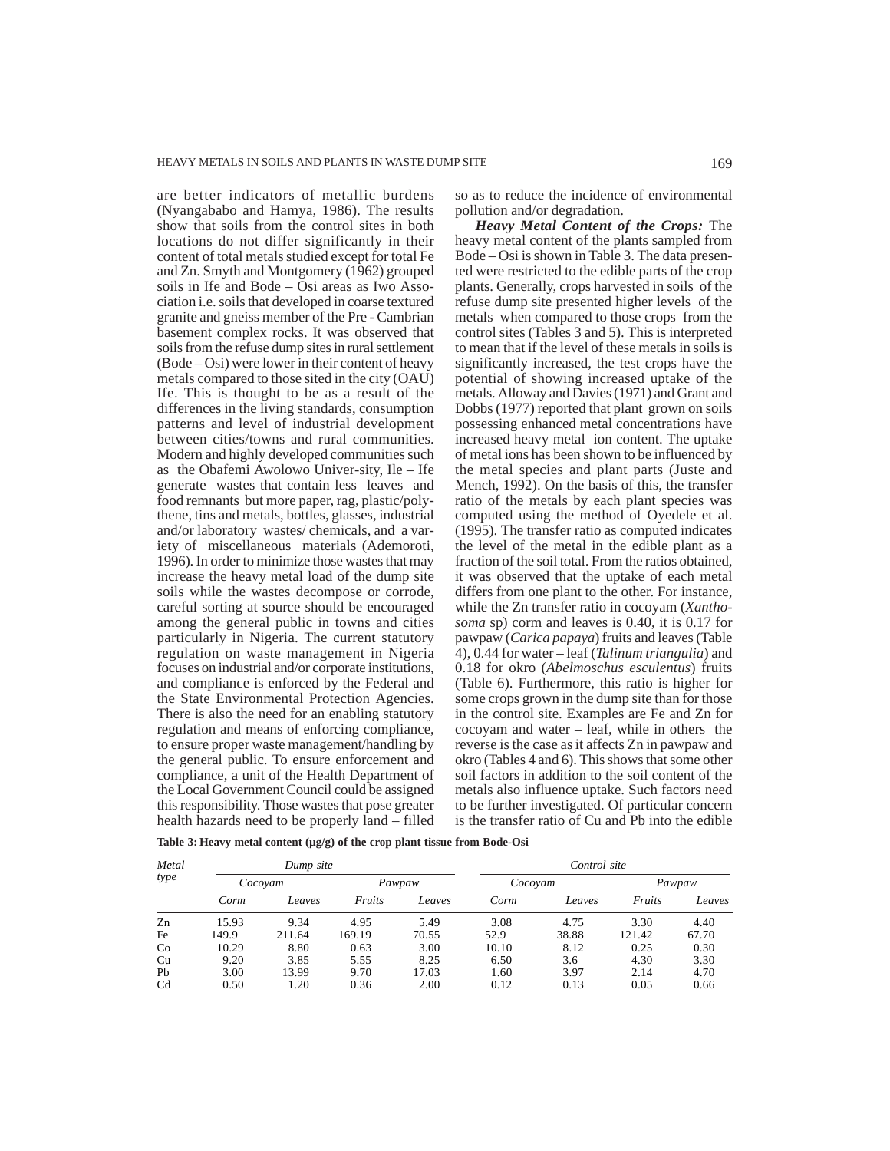are better indicators of metallic burdens (Nyangababo and Hamya, 1986). The results show that soils from the control sites in both locations do not differ significantly in their content of total metals studied except for total Fe and Zn. Smyth and Montgomery (1962) grouped soils in Ife and Bode – Osi areas as Iwo Association i.e. soils that developed in coarse textured granite and gneiss member of the Pre - Cambrian basement complex rocks. It was observed that soils from the refuse dump sites in rural settlement (Bode – Osi) were lower in their content of heavy metals compared to those sited in the city (OAU) Ife. This is thought to be as a result of the differences in the living standards, consumption patterns and level of industrial development between cities/towns and rural communities. Modern and highly developed communities such as the Obafemi Awolowo Univer-sity, Ile – Ife generate wastes that contain less leaves and food remnants but more paper, rag, plastic/polythene, tins and metals, bottles, glasses, industrial and/or laboratory wastes/ chemicals, and a variety of miscellaneous materials (Ademoroti, 1996). In order to minimize those wastes that may increase the heavy metal load of the dump site soils while the wastes decompose or corrode, careful sorting at source should be encouraged among the general public in towns and cities particularly in Nigeria. The current statutory regulation on waste management in Nigeria focuses on industrial and/or corporate institutions, and compliance is enforced by the Federal and the State Environmental Protection Agencies. There is also the need for an enabling statutory regulation and means of enforcing compliance, to ensure proper waste management/handling by the general public. To ensure enforcement and compliance, a unit of the Health Department of the Local Government Council could be assigned this responsibility. Those wastes that pose greater health hazards need to be properly land – filled so as to reduce the incidence of environmental pollution and/or degradation.

*Heavy Metal Content of the Crops:* The heavy metal content of the plants sampled from Bode – Osi is shown in Table 3. The data presented were restricted to the edible parts of the crop plants. Generally, crops harvested in soils of the refuse dump site presented higher levels of the metals when compared to those crops from the control sites (Tables 3 and 5). This is interpreted to mean that if the level of these metals in soils is significantly increased, the test crops have the potential of showing increased uptake of the metals. Alloway and Davies (1971) and Grant and Dobbs (1977) reported that plant grown on soils possessing enhanced metal concentrations have increased heavy metal ion content. The uptake of metal ions has been shown to be influenced by the metal species and plant parts (Juste and Mench, 1992). On the basis of this, the transfer ratio of the metals by each plant species was computed using the method of Oyedele et al. (1995). The transfer ratio as computed indicates the level of the metal in the edible plant as a fraction of the soil total. From the ratios obtained, it was observed that the uptake of each metal differs from one plant to the other. For instance, while the Zn transfer ratio in cocoyam (*Xanthosoma* sp) corm and leaves is 0.40, it is 0.17 for pawpaw (*Carica papaya*) fruits and leaves (Table 4), 0.44 for water – leaf (*Talinum triangulia*) and 0.18 for okro (*Abelmoschus esculentus*) fruits (Table 6). Furthermore, this ratio is higher for some crops grown in the dump site than for those in the control site. Examples are Fe and Zn for cocoyam and water – leaf, while in others the reverse is the case as it affects Zn in pawpaw and okro (Tables 4 and 6). This shows that some other soil factors in addition to the soil content of the metals also influence uptake. Such factors need to be further investigated. Of particular concern is the transfer ratio of Cu and Pb into the edible

| Metal<br>type  |         | Dump site |        |        | Control site |        |        |        |
|----------------|---------|-----------|--------|--------|--------------|--------|--------|--------|
|                | Cocoyam |           | Pawpaw |        | Cocoyam      |        | Pawpaw |        |
|                | Corm    | Leaves    | Fruits | Leaves | Corm         | Leaves | Fruits | Leaves |
| Zn             | 15.93   | 9.34      | 4.95   | 5.49   | 3.08         | 4.75   | 3.30   | 4.40   |
| Fe             | 149.9   | 211.64    | 169.19 | 70.55  | 52.9         | 38.88  | 121.42 | 67.70  |
| C <sub>0</sub> | 10.29   | 8.80      | 0.63   | 3.00   | 10.10        | 8.12   | 0.25   | 0.30   |
| Cu             | 9.20    | 3.85      | 5.55   | 8.25   | 6.50         | 3.6    | 4.30   | 3.30   |
| Pb             | 3.00    | 13.99     | 9.70   | 17.03  | 1.60         | 3.97   | 2.14   | 4.70   |
| C <sub>d</sub> | 0.50    | 1.20      | 0.36   | 2.00   | 0.12         | 0.13   | 0.05   | 0.66   |

Table 3: Heavy metal content (µg/g) of the crop plant tissue from Bode-Osi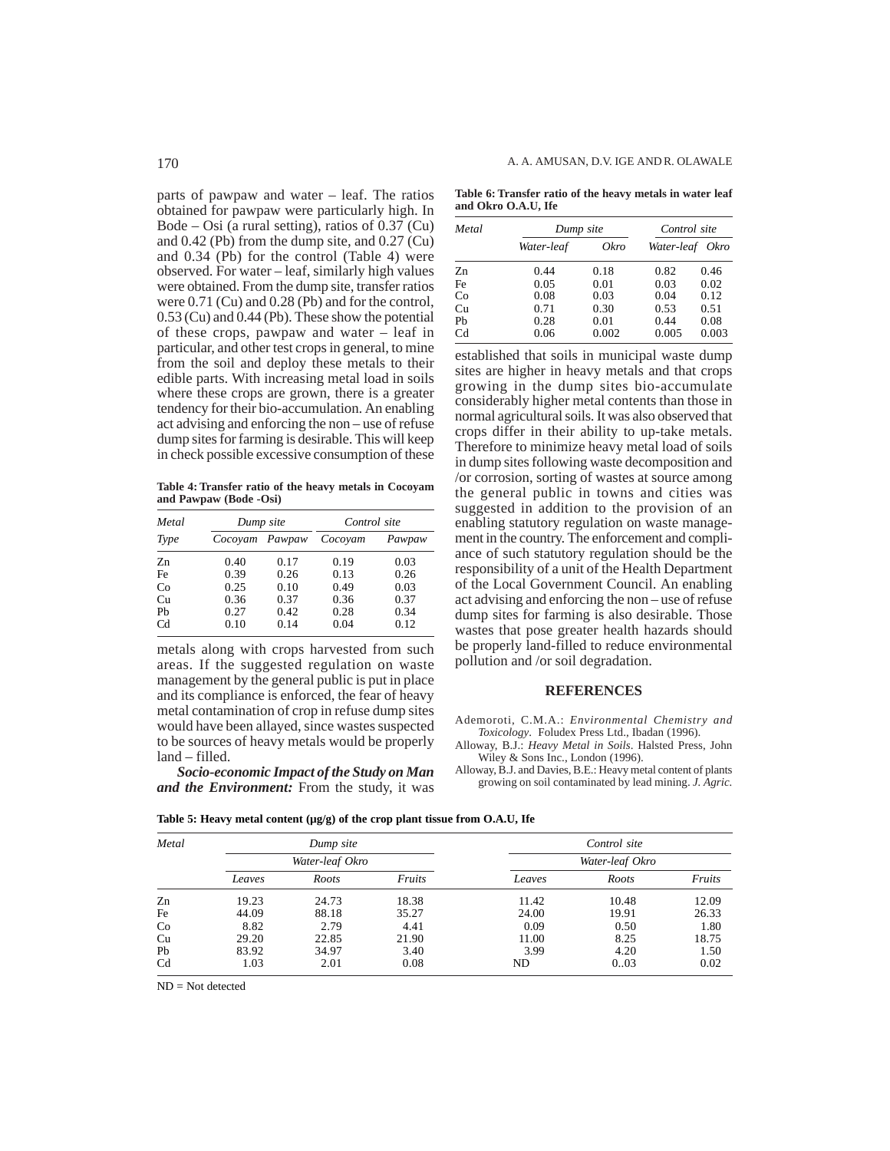parts of pawpaw and water – leaf. The ratios obtained for pawpaw were particularly high. In Bode – Osi (a rural setting), ratios of 0.37 (Cu) and 0.42 (Pb) from the dump site, and 0.27 (Cu) and 0.34 (Pb) for the control (Table 4) were observed. For water – leaf, similarly high values were obtained. From the dump site, transfer ratios were  $0.71$  (Cu) and  $0.28$  (Pb) and for the control, 0.53 (Cu) and 0.44 (Pb). These show the potential of these crops, pawpaw and water – leaf in particular, and other test crops in general, to mine from the soil and deploy these metals to their edible parts. With increasing metal load in soils where these crops are grown, there is a greater tendency for their bio-accumulation. An enabling act advising and enforcing the non – use of refuse dump sites for farming is desirable. This will keep in check possible excessive consumption of these

**Table 4: Transfer ratio of the heavy metals in Cocoyam and Pawpaw (Bode -Osi)**

| Metal | Dump site      |      | Control site |        |  |
|-------|----------------|------|--------------|--------|--|
| Type  | Cocovam Pawpaw |      | Cocovam      | Pawpaw |  |
| Zn    | 0.40           | 0.17 | 0.19         | 0.03   |  |
| Fe    | 0.39           | 0.26 | 0.13         | 0.26   |  |
| Co    | 0.25           | 0.10 | 0.49         | 0.03   |  |
| Cu    | 0.36           | 0.37 | 0.36         | 0.37   |  |
| Ph    | 0.27           | 0.42 | 0.28         | 0.34   |  |
| Cd    | 0.10           | 0.14 | 0.04         | 0.12   |  |

metals along with crops harvested from such areas. If the suggested regulation on waste management by the general public is put in place and its compliance is enforced, the fear of heavy metal contamination of crop in refuse dump sites would have been allayed, since wastes suspected to be sources of heavy metals would be properly land – filled.

*Socio-economic Impact of the Study on Man and the Environment:* From the study, it was

**Table 6: Transfer ratio of the heavy metals in water leaf and Okro O.A.U, Ife**

| Metal | Dump site  | Control site |                 |       |
|-------|------------|--------------|-----------------|-------|
|       | Water-leaf | Okro         | Water-leaf Okro |       |
| Zn    | 0.44       | 0.18         | 0.82            | 0.46  |
| Fe    | 0.05       | 0.01         | 0.03            | 0.02  |
| Co    | 0.08       | 0.03         | 0.04            | 0.12  |
| Cu    | 0.71       | 0.30         | 0.53            | 0.51  |
| Pb    | 0.28       | 0.01         | 0.44            | 0.08  |
| Cd    | 0.06       | 0.002        | 0.005           | 0.003 |

established that soils in municipal waste dump sites are higher in heavy metals and that crops growing in the dump sites bio-accumulate considerably higher metal contents than those in normal agricultural soils. It was also observed that crops differ in their ability to up-take metals. Therefore to minimize heavy metal load of soils in dump sites following waste decomposition and /or corrosion, sorting of wastes at source among the general public in towns and cities was suggested in addition to the provision of an enabling statutory regulation on waste management in the country. The enforcement and compliance of such statutory regulation should be the responsibility of a unit of the Health Department of the Local Government Council. An enabling act advising and enforcing the non – use of refuse dump sites for farming is also desirable. Those wastes that pose greater health hazards should be properly land-filled to reduce environmental pollution and /or soil degradation.

#### **REFERENCES**

Ademoroti, C.M.A.: *Environmental Chemistry and Toxicology*. Foludex Press Ltd., Ibadan (1996).

Alloway, B.J.: *Heavy Metal in Soils*. Halsted Press, John Wiley & Sons Inc., London (1996).

Alloway, B.J. and Davies, B.E.: Heavy metal content of plants growing on soil contaminated by lead mining. *J. Agric.*

Table 5: Heavy metal content ( $\mu$ g/g) of the crop plant tissue from O.A.U, Ife

| Metal          | Dump site<br>Water-leaf Okro |       |        | Control site    |       |        |  |
|----------------|------------------------------|-------|--------|-----------------|-------|--------|--|
|                |                              |       |        | Water-leaf Okro |       |        |  |
|                | Leaves                       | Roots | Fruits | Leaves          | Roots | Fruits |  |
| Zn             | 19.23                        | 24.73 | 18.38  | 11.42           | 10.48 | 12.09  |  |
| Fe             | 44.09                        | 88.18 | 35.27  | 24.00           | 19.91 | 26.33  |  |
| Co             | 8.82                         | 2.79  | 4.41   | 0.09            | 0.50  | 1.80   |  |
| Cu             | 29.20                        | 22.85 | 21.90  | 11.00           | 8.25  | 18.75  |  |
| Pb             | 83.92                        | 34.97 | 3.40   | 3.99            | 4.20  | 1.50   |  |
| C <sub>d</sub> | 1.03                         | 2.01  | 0.08   | ND              | 0.03  | 0.02   |  |

ND = Not detected